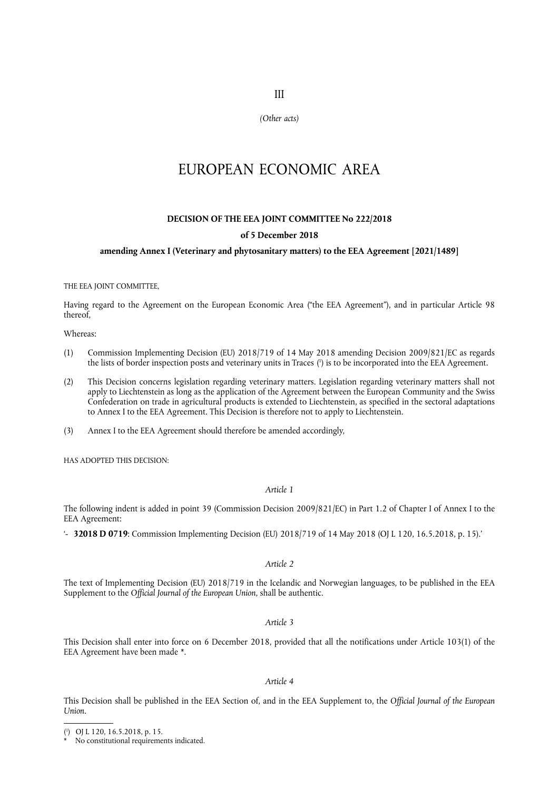III

*(Other acts)*

# EUROPEAN ECONOMIC AREA

# **DECISION OF THE EEA JOINT COMMITTEE No 222/2018**

## **of 5 December 2018**

## **amending Annex I (Veterinary and phytosanitary matters) to the EEA Agreement [2021/1489]**

#### THE EEA JOINT COMMITTEE,

Having regard to the Agreement on the European Economic Area ("the EEA Agreement"), and in particular Article 98 thereof,

Whereas:

- <span id="page-0-2"></span>(1) Commission Implementing Decision (EU) 2018/719 of 14 May 2018 amending Decision 2009/821/EC as regards the lists of border inspection posts and veterinary units in Traces [\(](#page-0-0) 1 ) is to be incorporated into the EEA Agreement.
- (2) This Decision concerns legislation regarding veterinary matters. Legislation regarding veterinary matters shall not apply to Liechtenstein as long as the application of the Agreement between the European Community and the Swiss Confederation on trade in agricultural products is extended to Liechtenstein, as specified in the sectoral adaptations to Annex I to the EEA Agreement. This Decision is therefore not to apply to Liechtenstein.
- (3) Annex I to the EEA Agreement should therefore be amended accordingly,

HAS ADOPTED THIS DECISION:

## *Article 1*

The following indent is added in point 39 (Commission Decision 2009/821/EC) in Part 1.2 of Chapter I of Annex I to the EEA Agreement:

'- **32018 D 0719**: Commission Implementing Decision (EU) 2018/719 of 14 May 2018 (OJ L 120, 16.5.2018, p. 15).'

## *Article 2*

The text of Implementing Decision (EU) 2018/719 in the Icelandic and Norwegian languages, to be published in the EEA Supplement to the *Official Journal of the European Union*, shall be authentic.

### *Article 3*

<span id="page-0-3"></span>This Decision shall enter into force on 6 December 2018, provided that all the notifications under Article 103(1) of the EEA Agreement have been made [\\*](#page-0-1).

## *Article 4*

This Decision shall be published in the EEA Section of, and in the EEA Supplement to, the *Official Journal of the European Union*.

<span id="page-0-0"></span>[<sup>\(</sup>](#page-0-2) 1 ) OJ L 120, 16.5.2018, p. 15.

<span id="page-0-1"></span>No constitutional requirements indicated.